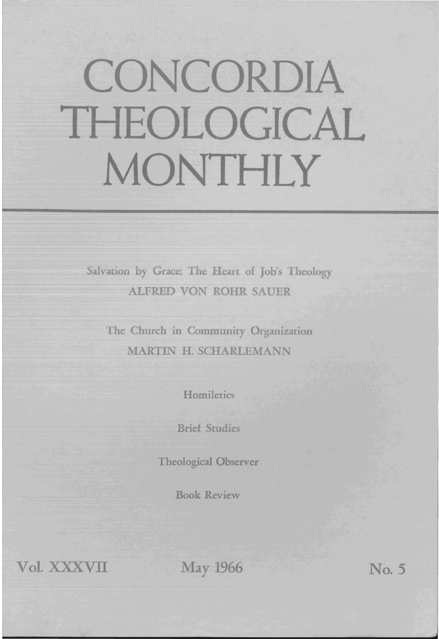## **CONCORDIA THEOLOGICAL MONTHLY**

Salvation by Grace: The Heart of Job's Theology ALFRED VON ROHR SAUER

The Church in Community Organization MARTIN H. SCHARLEMANN

**Homiletics** 

Brief Studies

Theological Observer

Book Review

Vol. XXXVII May 1966 No. 5